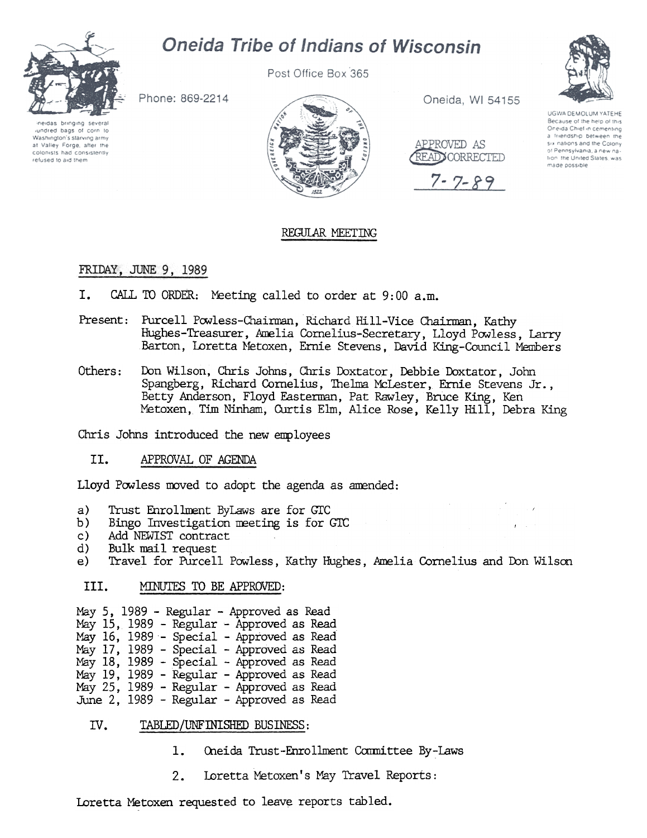

# Oneida Tribe of Indians of Wisconsin

Post Office Box 365

Phone: 869-2214

neidas bringing several lundred bags of corn to Washington's starving army at Valley Forge, after the colonists had consistently refused to aid them



Oneida, WI 54155



7-7-89



UGWA DEMOLUM YATEHE Because of the help of this Oneida Chief in cementing a friendship between the six nations and the Colony of Pennsylvania, a new nation the United States, was made possible

## REGillAR MEETING

### FRIDAY, JUNE 9, 1989

- I. CALL TO ORDER: Meeting called to order at 9:00 a.m.
- Present: Purcell Powless-Chairman, Richard Hill-Vice Chairman, Kathy Hughes-Treasurer, Amelia Cornelius-Secretary, Lloyd Powless, Larry Barton, Loretta Metoxen, Ernie Stevens, David King-Council Members
- Others: Don Wilson, Chris Johns, Chris Doxtator, Debbie Doxtator, John Spangberg, Richard Cornelius, Thelma McLester, Ernie Stevens Jr., Betty Anderson, Floyd Easterman, Pat Rawley, Bruce King, Ken Metoxen, Tim Ninham, Curtis Elm, Alice Rose, Kelly Hill, Debra King

Chris Johns introduced the new employees

II. APPROVAL OF AGENDA

Lloyd Powless moved to adopt the agenda as amended:

- a) Trust Enrollment ByLaws are for GTC
- b) Bingo Investigation meeting is for GTC
- c) Add NEWIST contract
- d) Bulk mail request
- e) Travel for Purcell Powless, Kathy Hughes, Amelia Cornelius and Don Wilson

#### III. MINUTES TO BE APPROVED:

May 5, 1989 - Regular - Approved as Read May 15, 1989 - Regular - Approved as Read  $\text{Mav}$  16. 1989 - Special - Approved as Read May 17, 1989 - Special - Approved as Read May 18, 1989 - Special - Approved as Read May 19, 1989 - Regular - Approved as Read May 25, 1989 - Regular - Approved as Read June 2, 1989 - Regular - Approved as Read

- IV. TABLED/UNFINISHED BUSINESS:
	-
	- Loretta Metoxen's May Travel Reports:

1. Oneida Trust-Enrollment Committee By-Law<br>2. Loretta Metoxen's May Travel Reports:<br>Loretta Metoxen requested to leave reports tabled. Loretta Metoxen requested to leave reports tabled.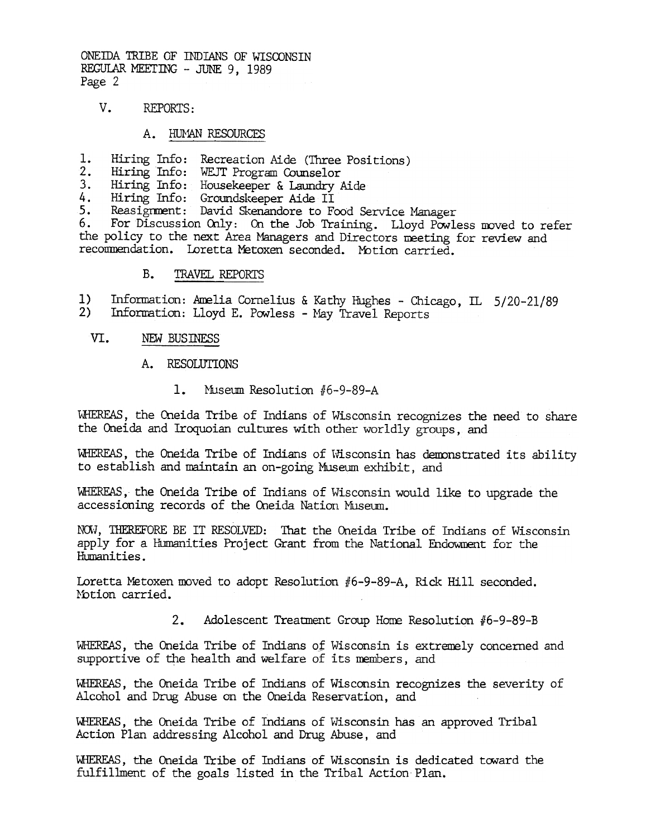ONEIDA TRIBE OF INDIANS OF WISCONSIN REGULAR MEETING - JUNE 9, 1989 Page 2

V. REPORTS:

### A. HUMAN RESOURCES

- Hiring Info: Recreation Aide (Three Positions) 1.
- $\overline{2}$ .
- Hiring Info: WEJT Program Counselor<br>Hiring Info: Housekeeper & Laundry Aide  $3.$
- Hiring Info: Groundskeeper Aide II 4.
- Reasignment: David Skenandore to Food Service Manager 5.

For Discussion Only: On the Job Training. Lloyd Powless moved to refer 6. the policy to the next Area Managers and Directors meeting for review and recommendation. Loretta Metoxen seconded. Motion carried.

> $B<sub>z</sub>$ TRAVEL REPORTS

Information: Amelia Cornelius & Kathy Hughes - Chicago, IL 5/20-21/89  $1)$  $2)$ Information: Lloyd E. Powless - May Travel Reports

- VI. NEW BUSINESS
	- $A_{\bullet}$ **RESOLUTIONS** 
		- $\mathbf{1}$ . Museum Resolution #6-9-89-A

WHEREAS, the Oneida Tribe of Indians of Wisconsin recognizes the need to share the Oneida and Iroquoian cultures with other worldly groups, and

WHEREAS, the Oneida Tribe of Indians of Wisconsin has demonstrated its ability to establish and maintain an on-going Museum exhibit, and

WHEREAS, the Oneida Tribe of Indians of Wisconsin would like to upgrade the accessioning records of the Oneida Nation Museum.

NOW, THEREFORE BE IT RESOLVED: That the Oneida Tribe of Indians of Wisconsin apply for a Humanities Project Grant from the National Endowment for the Humanities.

Loretta Metoxen moved to adopt Resolution #6-9-89-A, Rick Hill seconded. Motion carried.

> $2.$ Adolescent Treatment Group Home Resolution #6-9-89-B

WHEREAS, the Oneida Tribe of Indians of Wisconsin is extremely concerned and supportive of the health and welfare of its members, and

WHEREAS, the Oneida Tribe of Indians of Wisconsin recognizes the severity of Alcohol and Drug Abuse on the Oneida Reservation, and

WHEREAS, the Oneida Tribe of Indians of Wisconsin has an approved Tribal Action Plan addressing Alcohol and Drug Abuse, and

WHEREAS, the Oneida Tribe of Indians of Wisconsin is dedicated toward the fulfillment of the goals listed in the Tribal Action Plan.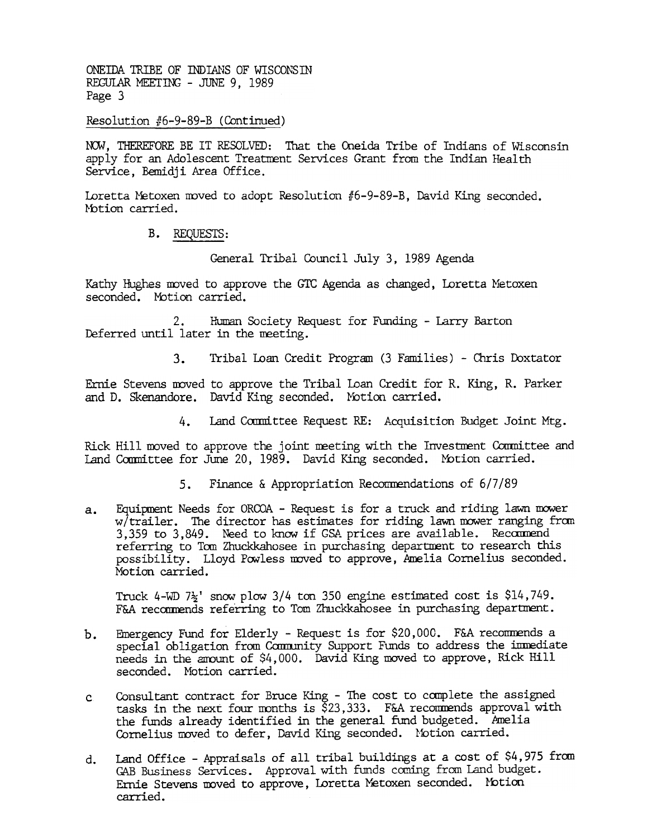ONEIDA TRIBE OF INDIANS OF WISCONSIN REGULAR MEETING - JUNE 9. 1989 Page 3

Resolution #6-9-89-B (Continued)

NOW, THEREFORE BE IT RESOLVED: That the Oneida Tribe of Indians of Wisconsin apply for an Adolescent Treatment Services Grant from the Indian Health Service. Bemidii Area Office.

Loretta Metoxen moved to adopt Resolution #6-9-89-B, David King seconded. Motion carried.

B. REQUESTS:

General Tribal Council July 3, 1989 Agenda

Kathy Hughes moved to approve the GTC Agenda as changed, Loretta Metoxen seconded. Motion carried.

Human Society Request for Funding - Larry Barton  $2.$ Deferred until later in the meeting.

> Tribal Loan Credit Program (3 Families) - Chris Doxtator  $3.$

Ernie Stevens moved to approve the Tribal Loan Credit for R. King, R. Parker and D. Skenandore. David King seconded. Motion carried.

> Land Committee Request RE: Acquisition Budget Joint Mtg. 4.

Rick Hill moved to approve the joint meeting with the Investment Committee and Land Committee for June 20, 1989. David King seconded. Motion carried.

- Finance & Appropriation Recommendations of  $6/7/89$ 5.
- Equipment Needs for ORCOA Request is for a truck and riding lawn mower  $a_{\bullet}$ w/trailer. The director has estimates for riding lawn mower ranging from 3,359 to 3,849. Need to know if GSA prices are available. Recommend referring to Tom Zhuckkahosee in purchasing department to research this possibility. Lloyd Powless moved to approve, Amelia Cornelius seconded. Motion carried.

Truck 4-WD  $7\frac{1}{2}$ ' snow plow 3/4 ton 350 engine estimated cost is \$14,749. F&A recommends referring to Tom Zhuckkahosee in purchasing department.

- Emergency Fund for Elderly Request is for \$20,000. F&A recommends a  $b$ . special obligation from Community Support Funds to address the immediate needs in the amount of \$4,000. David King moved to approve, Rick Hill seconded. Motion carried.
- Consultant contract for Bruce King The cost to complete the assigned  $\mathbf{c}$ tasks in the next four months is  $\S$ 23,333. F&A recommends approval with the funds already identified in the general fund budgeted. Amelia Cornelius moved to defer, David King seconded. Motion carried.
- Land Office Appraisals of all tribal buildings at a cost of \$4,975 from  $d_{\bullet}$ GAB Business Services. Approval with funds coming from Land budget. Ernie Stevens moved to approve, Loretta Metoxen seconded. Motion carried.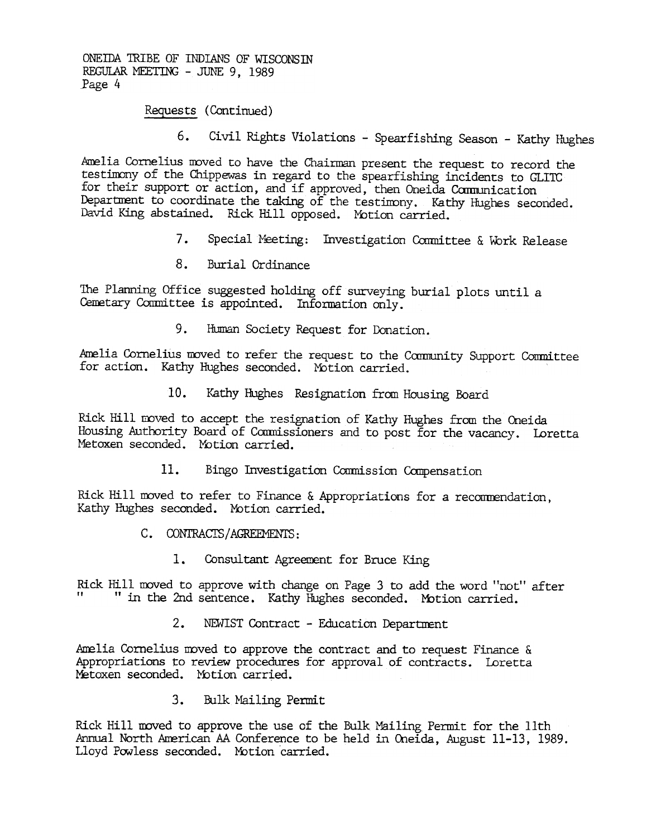ONEIDA TRIBE OF INDIANS OF WISCONSTN REGULAR MEETING - JUNE 9, 1989 Page 4

Requests (Continued)

6. Civil Rights Violations - Spearfishing Season - Kathy Hughes

Amelia Cornelius moved to have the Chairman present the request to record the testimony of the Chippewas in regard to the spearfishing incidents to GLITC for their support or action, and if approved, then Oneida Communication Department to coordinate the taking of the testimony. Kathy Hughes seconded. David King abstained. Rick Hill opposed. Motion carried.

- 7. Special Meeting: Investigation Committee & Work Release
- 8. Burial Ordinance

The Planning Office suggested holding off surveying burial plots until a Cemetary Committee is appointed. Information only.

Amelia Cornelius moved to refer the request to the Community Support Committee for action. Kathy Hughes seconded. Motion carried.

Kathy Hughes Resignation from Housing Board

9. Human Society Request for Donatic<br>Amelia Cornelius moved to rafer the request to the Ce.<br>for action. Kathy Hughes seconded. Yotion carried.<br>10. Kathy Hughes Resignation from Ho<br>Rick Hill moved to accept the resignation Rick Hill mved to accept the resignation of Kathy Hughes fram the Oneida Housing Authority Board of Commissioners and to post for the vacancy. Loretta Metoxen seconded. Motion carried.

Rick Fill moved to refer to Finance & Appropriations for a recommendation, Kathy Hughes seconded. Motion carried.

- C. CONTRACTS/AGREEMENTS:
	- Consultant Agreement for Bruce King

Rick Hill moved to approve with change on Page 3 to add the word "not" after<br>" in the 2nd sentence. Kathy Hughes seconded. Motion carried.

2. NEWIST Contract - Education Department

Amelia Cornelius moved to approve the contract and to request Finance & Appropriations to review procedures for approval of contracts. Loretta Metoxen seconded. Motion carried.

3. Bulk Mailing Permit

11. Bingo Investigation Commission Compensation<br>
Rick Hill moved to refer to Finance & Appropriations for a reco<br>
Kathy Hughes seconded. Motion carried.<br>
C. CONTRACTS/AGREEMENTS:<br>
1. Consultant Agreement for Bruce King<br>
Ri Rick Hill rwved to approve the use of the Bulk Mailing Permit for the 11th Annual North American AA Conference to be held in Oneida, August 11-13, 1989. Lloyd Powless seconded. MOtion 'carried.